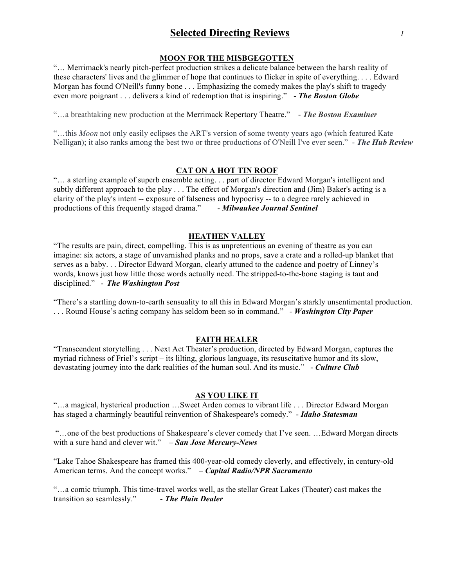# **Selected Directing Reviews** *1*

## **MOON FOR THE MISBGEGOTTEN**

"… Merrimack's nearly pitch-perfect production strikes a delicate balance between the harsh reality of these characters' lives and the glimmer of hope that continues to flicker in spite of everything. . . . Edward Morgan has found O'Neill's funny bone . . . Emphasizing the comedy makes the play's shift to tragedy even more poignant . . . delivers a kind of redemption that is inspiring." - *The Boston Globe*

"…a breathtaking new production at the Merrimack Repertory Theatre." - *The Boston Examiner*

"…this *Moon* not only easily eclipses the ART's version of some twenty years ago (which featured Kate Nelligan); it also ranks among the best two or three productions of O'Neill I've ever seen." - *The Hub Review*

## **CAT ON A HOT TIN ROOF**

"… a sterling example of superb ensemble acting. . . part of director Edward Morgan's intelligent and subtly different approach to the play . . . The effect of Morgan's direction and (Jim) Baker's acting is a clarity of the play's intent -- exposure of falseness and hypocrisy -- to a degree rarely achieved in productions of this frequently staged drama." - *Milwaukee Journal Sentinel*

## **HEATHEN VALLEY**

"The results are pain, direct, compelling. This is as unpretentious an evening of theatre as you can imagine: six actors, a stage of unvarnished planks and no props, save a crate and a rolled-up blanket that serves as a baby. . . Director Edward Morgan, clearly attuned to the cadence and poetry of Linney's words, knows just how little those words actually need. The stripped-to-the-bone staging is taut and disciplined." - *The Washington Post*

"There's a startling down-to-earth sensuality to all this in Edward Morgan's starkly unsentimental production. . . . Round House's acting company has seldom been so in command." *- Washington City Paper*

# **FAITH HEALER**

"Transcendent storytelling . . . Next Act Theater's production, directed by Edward Morgan, captures the myriad richness of Friel's script – its lilting, glorious language, its resuscitative humor and its slow, devastating journey into the dark realities of the human soul. And its music." - *Culture Club*

## **AS YOU LIKE IT**

"…a magical, hysterical production …Sweet Arden comes to vibrant life . . . Director Edward Morgan has staged a charmingly beautiful reinvention of Shakespeare's comedy." - *Idaho Statesman*

"…one of the best productions of Shakespeare's clever comedy that I've seen. …Edward Morgan directs with a sure hand and clever wit." *– San Jose Mercury-News*

"Lake Tahoe Shakespeare has framed this 400-year-old comedy cleverly, and effectively, in century-old American terms. And the concept works." *– Capital Radio/NPR Sacramento*

"…a comic triumph. This time-travel works well, as the stellar Great Lakes (Theater) cast makes the transition so seamlessly." *- The Plain Dealer*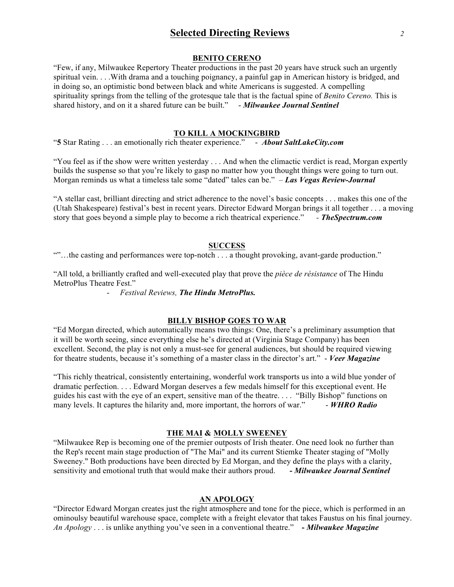# **Selected Directing Reviews** *2*

### **BENITO CERENO**

"Few, if any, Milwaukee Repertory Theater productions in the past 20 years have struck such an urgently spiritual vein. . . .With drama and a touching poignancy, a painful gap in American history is bridged, and in doing so, an optimistic bond between black and white Americans is suggested. A compelling spirituality springs from the telling of the grotesque tale that is the factual spine of *Benito Cereno.* This is shared history, and on it a shared future can be built." - *Milwaukee Journal Sentinel*

#### **TO KILL A MOCKINGBIRD**

"**5** Star Rating . . . an emotionally rich theater experience." - *About SaltLakeCity.com*

"You feel as if the show were written yesterday . . . And when the climactic verdict is read, Morgan expertly builds the suspense so that you're likely to gasp no matter how you thought things were going to turn out. Morgan reminds us what a timeless tale some "dated" tales can be." *– Las Vegas Review-Journal*

"A stellar cast, brilliant directing and strict adherence to the novel's basic concepts . . . makes this one of the (Utah Shakespeare) festival's best in recent years. Director Edward Morgan brings it all together . . . a moving story that goes beyond a simple play to become a rich theatrical experience." *- TheSpectrum.com*

### **SUCCESS**

""…the casting and performances were top-notch . . . a thought provoking, avant-garde production."

"All told, a brilliantly crafted and well-executed play that prove the *pièce de résistance* of The Hindu MetroPlus Theatre Fest."

- *Festival Reviews, The Hindu MetroPlus.* 

#### **BILLY BISHOP GOES TO WAR**

"Ed Morgan directed, which automatically means two things: One, there's a preliminary assumption that it will be worth seeing, since everything else he's directed at (Virginia Stage Company) has been excellent. Second, the play is not only a must-see for general audiences, but should be required viewing for theatre students, because it's something of a master class in the director's art." - *Veer Magazine*

"This richly theatrical, consistently entertaining, wonderful work transports us into a wild blue yonder of dramatic perfection. . . . Edward Morgan deserves a few medals himself for this exceptional event. He guides his cast with the eye of an expert, sensitive man of the theatre. . . . "Billy Bishop" functions on many levels. It captures the hilarity and, more important, the horrors of war." - *WHRO Radio* 

## **THE MAI & MOLLY SWEENEY**

"Milwaukee Rep is becoming one of the premier outposts of Irish theater. One need look no further than the Rep's recent main stage production of "The Mai" and its current Stiemke Theater staging of "Molly Sweeney." Both productions have been directed by Ed Morgan, and they define the plays with a clarity, sensitivity and emotional truth that would make their authors proud. **-** *Milwaukee Journal Sentinel*

# **AN APOLOGY**

"Director Edward Morgan creates just the right atmosphere and tone for the piece, which is performed in an ominoulsy beautiful warehouse space, complete with a freight elevator that takes Faustus on his final journey. *An Apology* . . . is unlike anything you've seen in a conventional theatre." **-** *Milwaukee Magazine*